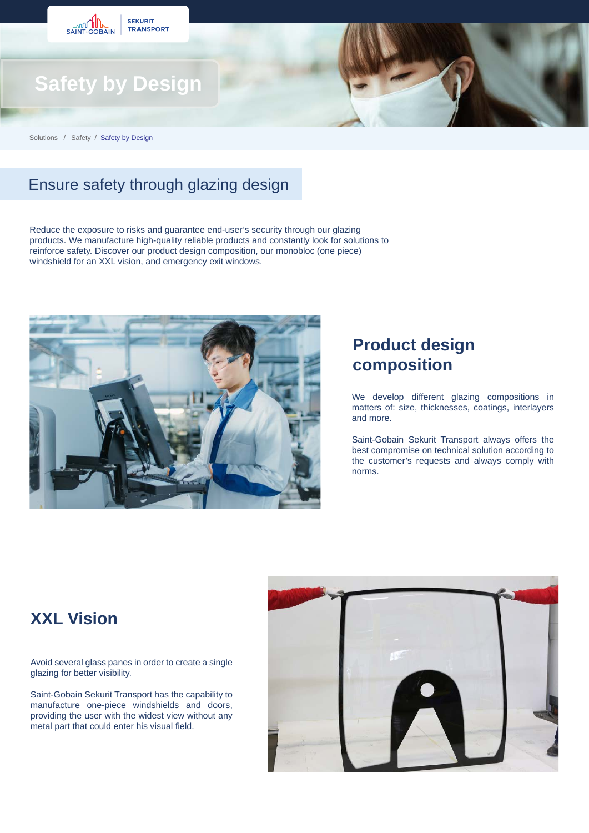

Solutions / Safety / Safety by Design

# Ensure safety through glazing design

Reduce the exposure to risks and guarantee end-user's security through our glazing products. We manufacture high-quality reliable products and constantly look for solutions to reinforce safety. Discover our product design composition, our monobloc (one piece) windshield for an XXL vision, and emergency exit windows.



## **Product design composition**

We develop different glazing compositions in matters of: size, thicknesses, coatings, interlayers and more.

Saint-Gobain Sekurit Transport always offers the best compromise on technical solution according to the customer's requests and always comply with norms.

#### **XXL Vision**

Avoid several glass panes in order to create a single glazing for better visibility.

Saint-Gobain Sekurit Transport has the capability to manufacture one-piece windshields and doors, providing the user with the widest view without any metal part that could enter his visual field.